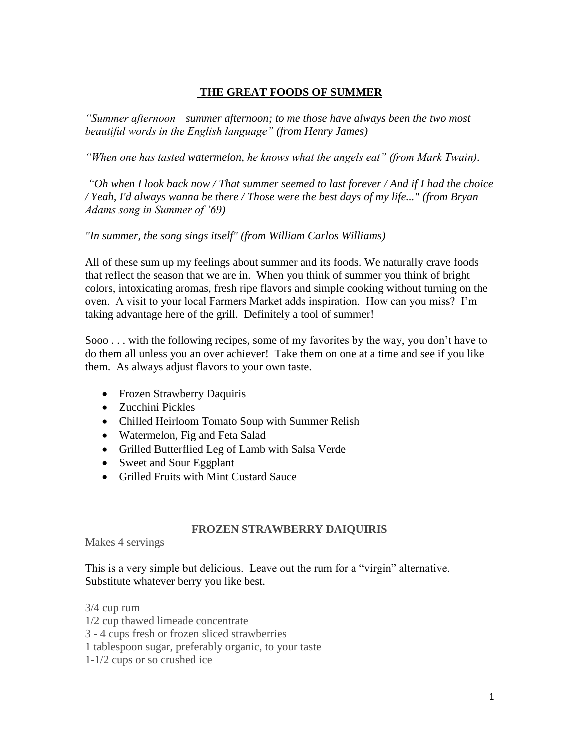## **THE GREAT FOODS OF SUMMER**

*"Summer afternoon—summer afternoon; to me those have always been the two most beautiful words in the English language" (from Henry James)* 

*"When one has tasted watermelon, he knows what the angels eat" (from Mark Twain).* 

*"Oh when I look back now / That summer seemed to last forever / And if I had the choice / Yeah, I'd always wanna be there / Those were the best days of my life..." (from Bryan Adams song in Summer of '69)*

*"In summer, the song sings itself" (from William Carlos Williams)*

All of these sum up my feelings about summer and its foods. We naturally crave foods that reflect the season that we are in. When you think of summer you think of bright colors, intoxicating aromas, fresh ripe flavors and simple cooking without turning on the oven. A visit to your local Farmers Market adds inspiration. How can you miss? I'm taking advantage here of the grill. Definitely a tool of summer!

Sooo . . . with the following recipes, some of my favorites by the way, you don't have to do them all unless you an over achiever! Take them on one at a time and see if you like them. As always adjust flavors to your own taste.

- Frozen Strawberry Daquiris
- Zucchini Pickles
- Chilled Heirloom Tomato Soup with Summer Relish
- Watermelon, Fig and Feta Salad
- Grilled Butterflied Leg of Lamb with Salsa Verde
- Sweet and Sour Eggplant
- Grilled Fruits with Mint Custard Sauce

#### **FROZEN STRAWBERRY DAIQUIRIS**

Makes 4 servings

This is a very simple but delicious. Leave out the rum for a "virgin" alternative. Substitute whatever berry you like best.

3/4 cup rum

1/2 cup thawed limeade concentrate

3 - 4 cups fresh or frozen sliced strawberries

1 tablespoon sugar, preferably organic, to your taste

1-1/2 cups or so crushed ice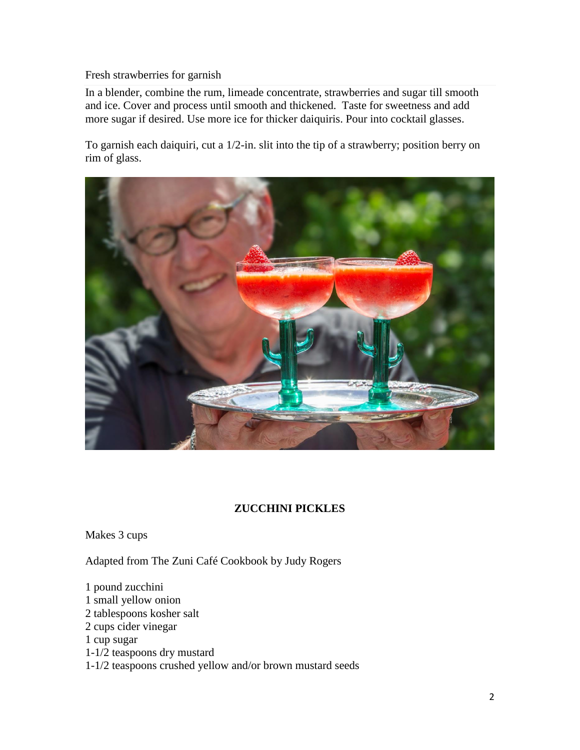#### Fresh strawberries for garnish

In a blender, combine the rum, limeade concentrate, strawberries and sugar till smooth and ice. Cover and process until smooth and thickened. Taste for sweetness and add more sugar if desired. Use more ice for thicker daiquiris. Pour into cocktail glasses.

To garnish each daiquiri, cut a 1/2-in. slit into the tip of a strawberry; position berry on rim of glass.



# **ZUCCHINI PICKLES**

Makes 3 cups

Adapted from The Zuni Café Cookbook by Judy Rogers

1 pound zucchini 1 small yellow onion 2 tablespoons kosher salt 2 cups cider vinegar 1 cup sugar 1-1/2 teaspoons dry mustard 1-1/2 teaspoons crushed yellow and/or brown mustard seeds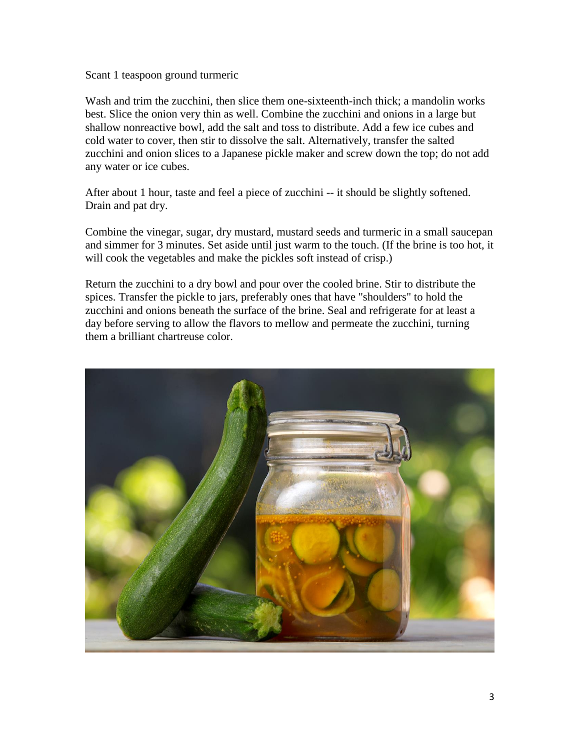Scant 1 teaspoon ground turmeric

Wash and trim the zucchini, then slice them one-sixteenth-inch thick; a mandolin works best. Slice the onion very thin as well. Combine the zucchini and onions in a large but shallow nonreactive bowl, add the salt and toss to distribute. Add a few ice cubes and cold water to cover, then stir to dissolve the salt. Alternatively, transfer the salted zucchini and onion slices to a Japanese pickle maker and screw down the top; do not add any water or ice cubes.

After about 1 hour, taste and feel a piece of zucchini -- it should be slightly softened. Drain and pat dry.

Combine the vinegar, sugar, dry mustard, mustard seeds and turmeric in a small saucepan and simmer for 3 minutes. Set aside until just warm to the touch. (If the brine is too hot, it will cook the vegetables and make the pickles soft instead of crisp.)

Return the zucchini to a dry bowl and pour over the cooled brine. Stir to distribute the spices. Transfer the pickle to jars, preferably ones that have "shoulders" to hold the zucchini and onions beneath the surface of the brine. Seal and refrigerate for at least a day before serving to allow the flavors to mellow and permeate the zucchini, turning them a brilliant chartreuse color.

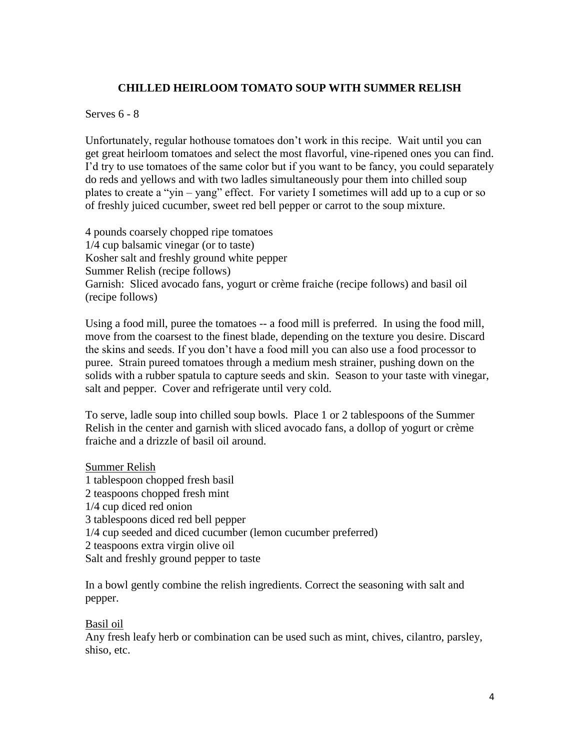## **CHILLED HEIRLOOM TOMATO SOUP WITH SUMMER RELISH**

Serves 6 - 8

Unfortunately, regular hothouse tomatoes don't work in this recipe. Wait until you can get great heirloom tomatoes and select the most flavorful, vine-ripened ones you can find. I'd try to use tomatoes of the same color but if you want to be fancy, you could separately do reds and yellows and with two ladles simultaneously pour them into chilled soup plates to create a "yin – yang" effect. For variety I sometimes will add up to a cup or so of freshly juiced cucumber, sweet red bell pepper or carrot to the soup mixture.

4 pounds coarsely chopped ripe tomatoes 1/4 cup balsamic vinegar (or to taste) Kosher salt and freshly ground white pepper Summer Relish (recipe follows) Garnish: Sliced avocado fans, yogurt or crème fraiche (recipe follows) and basil oil (recipe follows)

Using a food mill, puree the tomatoes -- a food mill is preferred. In using the food mill, move from the coarsest to the finest blade, depending on the texture you desire. Discard the skins and seeds. If you don't have a food mill you can also use a food processor to puree. Strain pureed tomatoes through a medium mesh strainer, pushing down on the solids with a rubber spatula to capture seeds and skin. Season to your taste with vinegar, salt and pepper. Cover and refrigerate until very cold.

To serve, ladle soup into chilled soup bowls. Place 1 or 2 tablespoons of the Summer Relish in the center and garnish with sliced avocado fans, a dollop of yogurt or crème fraiche and a drizzle of basil oil around.

Summer Relish 1 tablespoon chopped fresh basil 2 teaspoons chopped fresh mint 1/4 cup diced red onion 3 tablespoons diced red bell pepper 1/4 cup seeded and diced cucumber (lemon cucumber preferred) 2 teaspoons extra virgin olive oil Salt and freshly ground pepper to taste

In a bowl gently combine the relish ingredients. Correct the seasoning with salt and pepper.

#### Basil oil

Any fresh leafy herb or combination can be used such as mint, chives, cilantro, parsley, shiso, etc.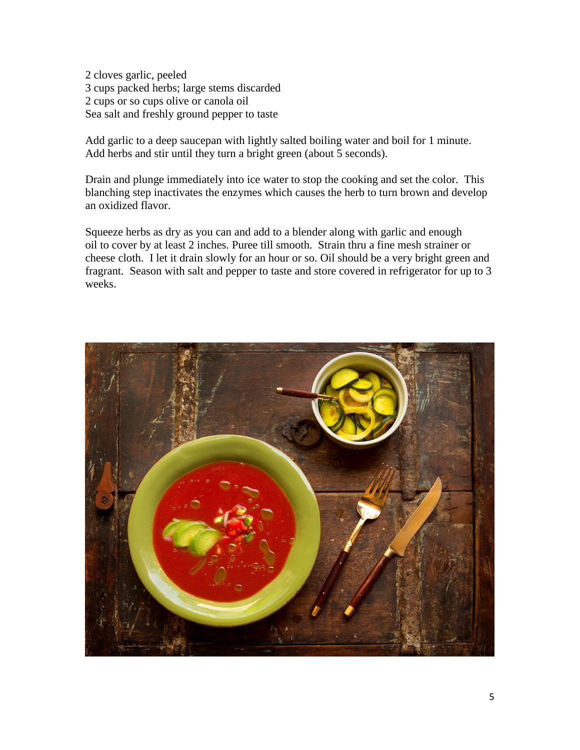2 cloves garlic, peeled 3 cups packed herbs; large stems discarded 2 cups or so cups olive or canola oil Sea salt and freshly ground pepper to taste

Add garlic to a deep saucepan with lightly salted boiling water and boil for 1 minute. Add herbs and stir until they turn a bright green (about 5 seconds).

Drain and plunge immediately into ice water to stop the cooking and set the color. This blanching step inactivates the enzymes which causes the herb to turn brown and develop an oxidized flavor.

Squeeze herbs as dry as you can and add to a blender along with garlic and enough oil to cover by at least 2 inches. Puree till smooth. Strain thru a fine mesh strainer or cheese cloth. I let it drain slowly for an hour or so. Oil should be a very bright green and fragrant. Season with salt and pepper to taste and store covered in refrigerator for up to 3 weeks.

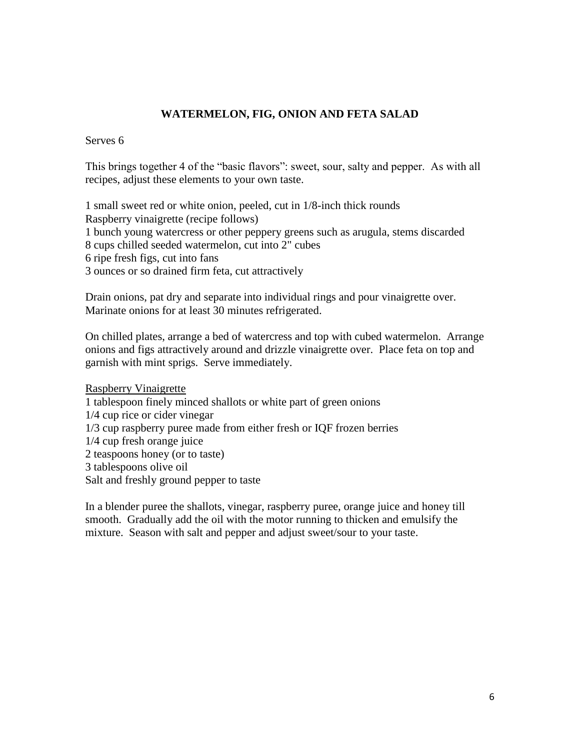## **WATERMELON, FIG, ONION AND FETA SALAD**

Serves 6

This brings together 4 of the "basic flavors": sweet, sour, salty and pepper. As with all recipes, adjust these elements to your own taste.

1 small sweet red or white onion, peeled, cut in 1/8-inch thick rounds

Raspberry vinaigrette (recipe follows)

1 bunch young watercress or other peppery greens such as arugula, stems discarded

8 cups chilled seeded watermelon, cut into 2" cubes

6 ripe fresh figs, cut into fans

3 ounces or so drained firm feta, cut attractively

Drain onions, pat dry and separate into individual rings and pour vinaigrette over. Marinate onions for at least 30 minutes refrigerated.

On chilled plates, arrange a bed of watercress and top with cubed watermelon. Arrange onions and figs attractively around and drizzle vinaigrette over. Place feta on top and garnish with mint sprigs. Serve immediately.

Raspberry Vinaigrette 1 tablespoon finely minced shallots or white part of green onions 1/4 cup rice or cider vinegar 1/3 cup raspberry puree made from either fresh or IQF frozen berries 1/4 cup fresh orange juice 2 teaspoons honey (or to taste) 3 tablespoons olive oil Salt and freshly ground pepper to taste

In a blender puree the shallots, vinegar, raspberry puree, orange juice and honey till smooth. Gradually add the oil with the motor running to thicken and emulsify the mixture. Season with salt and pepper and adjust sweet/sour to your taste.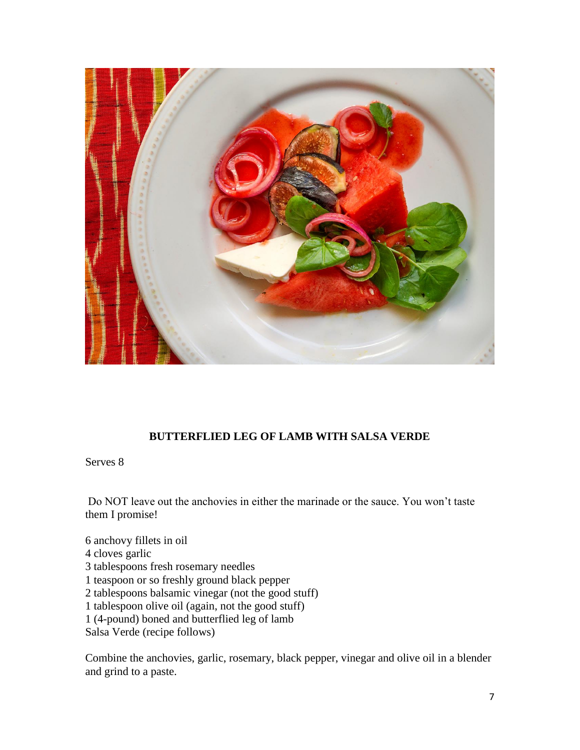

## **BUTTERFLIED LEG OF LAMB WITH SALSA VERDE**

Serves 8

Do NOT leave out the anchovies in either the marinade or the sauce. You won't taste them I promise!

6 anchovy fillets in oil 4 cloves garlic 3 tablespoons fresh rosemary needles 1 teaspoon or so freshly ground black pepper 2 tablespoons balsamic vinegar (not the good stuff) 1 tablespoon olive oil (again, not the good stuff) 1 (4-pound) boned and butterflied leg of lamb Salsa Verde (recipe follows)

Combine the anchovies, garlic, rosemary, black pepper, vinegar and olive oil in a blender and grind to a paste.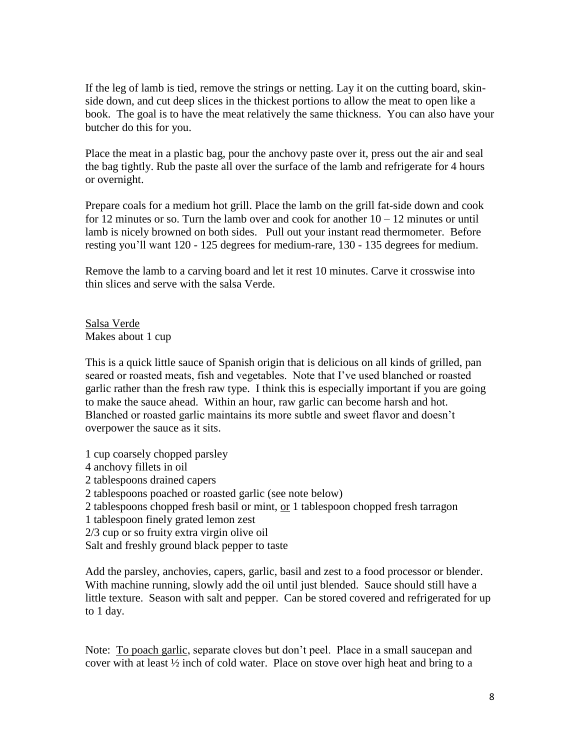If the leg of lamb is tied, remove the strings or netting. Lay it on the cutting board, skinside down, and cut deep slices in the thickest portions to allow the meat to open like a book. The goal is to have the meat relatively the same thickness. You can also have your butcher do this for you.

Place the meat in a plastic bag, pour the anchovy paste over it, press out the air and seal the bag tightly. Rub the paste all over the surface of the lamb and refrigerate for 4 hours or overnight.

Prepare coals for a medium hot grill. Place the lamb on the grill fat-side down and cook for 12 minutes or so. Turn the lamb over and cook for another  $10 - 12$  minutes or until lamb is nicely browned on both sides. Pull out your instant read thermometer. Before resting you'll want 120 - 125 degrees for medium-rare, 130 - 135 degrees for medium.

Remove the lamb to a carving board and let it rest 10 minutes. Carve it crosswise into thin slices and serve with the salsa Verde.

Salsa Verde Makes about 1 cup

This is a quick little sauce of Spanish origin that is delicious on all kinds of grilled, pan seared or roasted meats, fish and vegetables. Note that I've used blanched or roasted garlic rather than the fresh raw type. I think this is especially important if you are going to make the sauce ahead. Within an hour, raw garlic can become harsh and hot. Blanched or roasted garlic maintains its more subtle and sweet flavor and doesn't overpower the sauce as it sits.

1 cup coarsely chopped parsley

- 4 anchovy fillets in oil
- 2 tablespoons drained capers
- 2 tablespoons poached or roasted garlic (see note below)
- 2 tablespoons chopped fresh basil or mint, or 1 tablespoon chopped fresh tarragon
- 1 tablespoon finely grated lemon zest
- 2/3 cup or so fruity extra virgin olive oil

Salt and freshly ground black pepper to taste

Add the parsley, anchovies, capers, garlic, basil and zest to a food processor or blender. With machine running, slowly add the oil until just blended. Sauce should still have a little texture. Season with salt and pepper. Can be stored covered and refrigerated for up to 1 day.

Note: To poach garlic, separate cloves but don't peel. Place in a small saucepan and cover with at least ½ inch of cold water. Place on stove over high heat and bring to a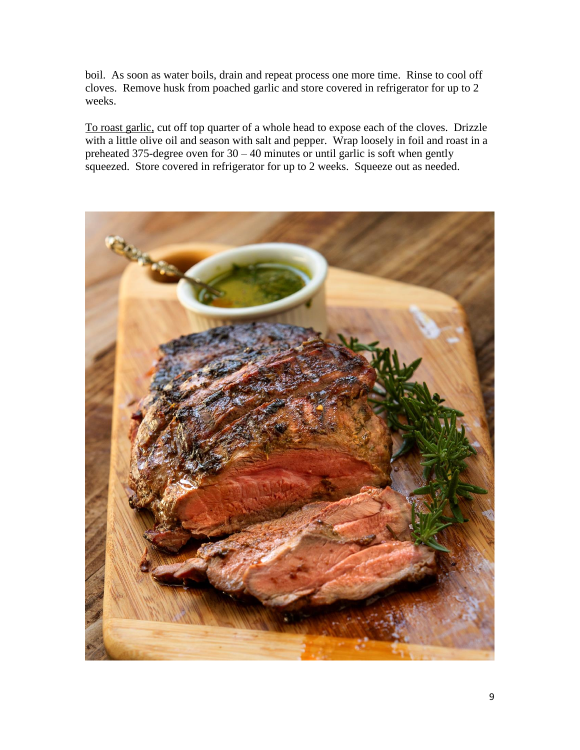boil. As soon as water boils, drain and repeat process one more time. Rinse to cool off cloves. Remove husk from poached garlic and store covered in refrigerator for up to 2 weeks.

To roast garlic, cut off top quarter of a whole head to expose each of the cloves. Drizzle with a little olive oil and season with salt and pepper. Wrap loosely in foil and roast in a preheated 375-degree oven for  $30 - 40$  minutes or until garlic is soft when gently squeezed. Store covered in refrigerator for up to 2 weeks. Squeeze out as needed.

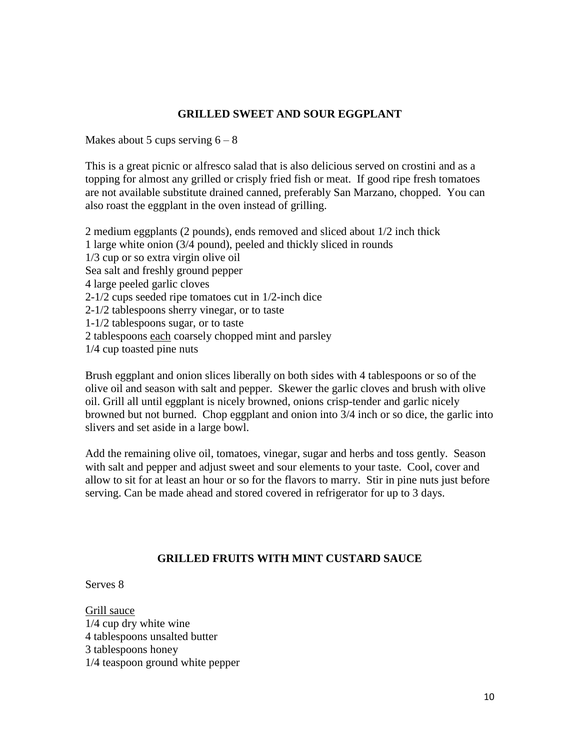### **GRILLED SWEET AND SOUR EGGPLANT**

Makes about 5 cups serving  $6 - 8$ 

This is a great picnic or alfresco salad that is also delicious served on crostini and as a topping for almost any grilled or crisply fried fish or meat. If good ripe fresh tomatoes are not available substitute drained canned, preferably San Marzano, chopped. You can also roast the eggplant in the oven instead of grilling.

2 medium eggplants (2 pounds), ends removed and sliced about 1/2 inch thick 1 large white onion (3/4 pound), peeled and thickly sliced in rounds 1/3 cup or so extra virgin olive oil Sea salt and freshly ground pepper 4 large peeled garlic cloves 2-1/2 cups seeded ripe tomatoes cut in 1/2-inch dice 2-1/2 tablespoons sherry vinegar, or to taste 1-1/2 tablespoons sugar, or to taste 2 tablespoons each coarsely chopped mint and parsley 1/4 cup toasted pine nuts

Brush eggplant and onion slices liberally on both sides with 4 tablespoons or so of the olive oil and season with salt and pepper. Skewer the garlic cloves and brush with olive oil. Grill all until eggplant is nicely browned, onions crisp-tender and garlic nicely browned but not burned. Chop eggplant and onion into 3/4 inch or so dice, the garlic into slivers and set aside in a large bowl.

Add the remaining olive oil, tomatoes, vinegar, sugar and herbs and toss gently. Season with salt and pepper and adjust sweet and sour elements to your taste. Cool, cover and allow to sit for at least an hour or so for the flavors to marry. Stir in pine nuts just before serving. Can be made ahead and stored covered in refrigerator for up to 3 days.

## **GRILLED FRUITS WITH MINT CUSTARD SAUCE**

Serves 8

Grill sauce 1/4 cup dry white wine 4 tablespoons unsalted butter 3 tablespoons honey 1/4 teaspoon ground white pepper